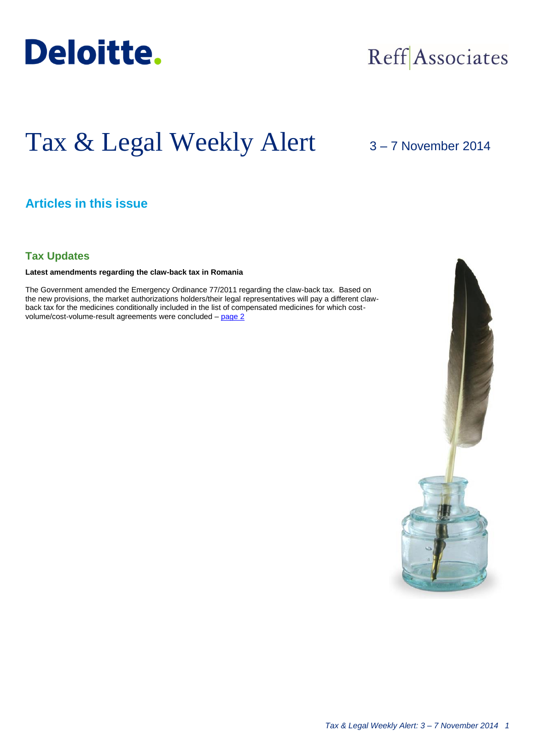

## Reff Associates

# Tax & Legal Weekly Alert

3 – 7 November 2014

## **Articles in this issue**

#### **Tax Updates**

**Latest amendments regarding the claw-back tax in Romania**

The Government amended the Emergency Ordinance 77/2011 regarding the claw-back tax. Based on the new provisions, the market authorizations holders/their legal representatives will pay a different clawback tax for the medicines conditionally included in the list of compensated medicines for which costvolume/cost-volume-result agreements were concluded - [page 2](#page-1-0)

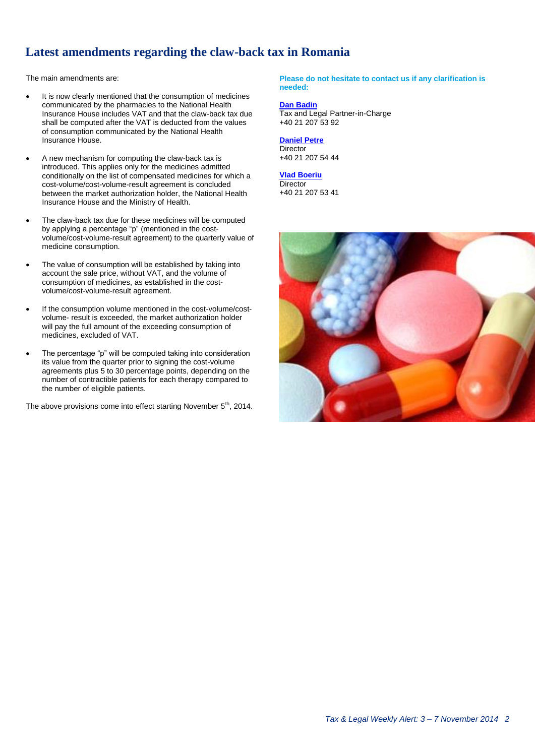### <span id="page-1-0"></span>**Latest amendments regarding the claw-back tax in Romania**

The main amendments are:

- It is now clearly mentioned that the consumption of medicines communicated by the pharmacies to the National Health Insurance House includes VAT and that the claw-back tax due shall be computed after the VAT is deducted from the values of consumption communicated by the National Health Insurance House.
- A new mechanism for computing the claw-back tax is introduced. This applies only for the medicines admitted conditionally on the list of compensated medicines for which a cost-volume/cost-volume-result agreement is concluded between the market authorization holder, the National Health Insurance House and the Ministry of Health.
- The claw-back tax due for these medicines will be computed by applying a percentage "p" (mentioned in the costvolume/cost-volume-result agreement) to the quarterly value of medicine consumption.
- The value of consumption will be established by taking into account the sale price, without VAT, and the volume of consumption of medicines, as established in the costvolume/cost-volume-result agreement.
- If the consumption volume mentioned in the cost-volume/costvolume- result is exceeded, the market authorization holder will pay the full amount of the exceeding consumption of medicines, excluded of VAT.
- The percentage "p" will be computed taking into consideration its value from the quarter prior to signing the cost-volume agreements plus 5 to 30 percentage points, depending on the number of contractible patients for each therapy compared to the number of eligible patients.

The above provisions come into effect starting November  $5<sup>th</sup>$ , 2014.

**Please do not hesitate to contact us if any clarification is needed:**

#### **[Dan Badin](mailto:dbadin@deloittece.com)** Tax and Legal Partner-in-Charge +40 21 207 53 92

**[Daniel Petre](mailto:dpetre@deloittece.com) Director** +40 21 207 54 44

**[Vlad Boeriu](mailto:vboeriu@deloittece.com) Director** +40 21 207 53 41